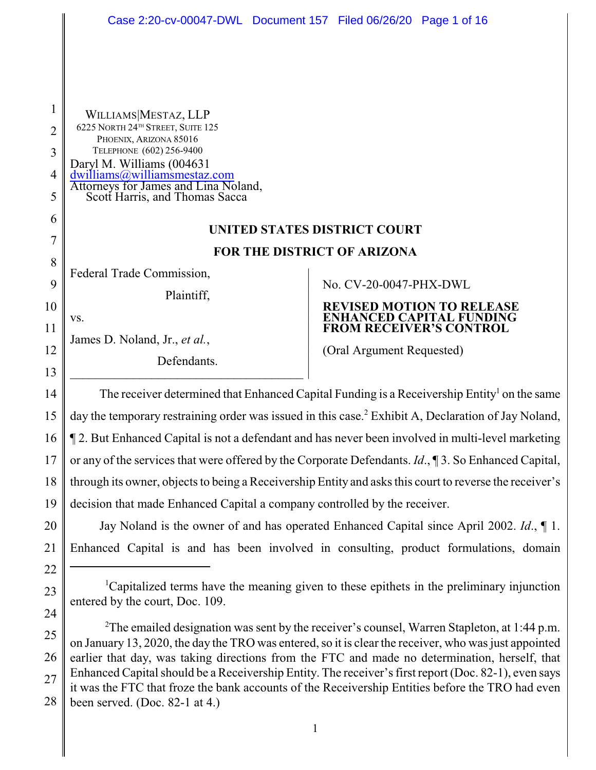|                | Case 2:20-cv-00047-DWL Document 157 Filed 06/26/20 Page 1 of 16                                                                                                                                                                                                                                                   |                                                                                                                 |  |  |
|----------------|-------------------------------------------------------------------------------------------------------------------------------------------------------------------------------------------------------------------------------------------------------------------------------------------------------------------|-----------------------------------------------------------------------------------------------------------------|--|--|
|                |                                                                                                                                                                                                                                                                                                                   |                                                                                                                 |  |  |
|                |                                                                                                                                                                                                                                                                                                                   |                                                                                                                 |  |  |
|                |                                                                                                                                                                                                                                                                                                                   |                                                                                                                 |  |  |
| 1              |                                                                                                                                                                                                                                                                                                                   |                                                                                                                 |  |  |
|                | WILLIAMS MESTAZ, LLP<br>6225 NORTH 24TH STREET, SUITE 125                                                                                                                                                                                                                                                         |                                                                                                                 |  |  |
| $\overline{2}$ | PHOENIX, ARIZONA 85016                                                                                                                                                                                                                                                                                            |                                                                                                                 |  |  |
| 3              | TELEPHONE (602) 256-9400<br>Daryl M. Williams (004631<br>dwilliams@williamsmestaz.com<br>Attorneys for James and Lina Noland,                                                                                                                                                                                     |                                                                                                                 |  |  |
| 4              |                                                                                                                                                                                                                                                                                                                   |                                                                                                                 |  |  |
| 5              | Scott Harris, and Thomas Sacca                                                                                                                                                                                                                                                                                    |                                                                                                                 |  |  |
| 6              | UNITED STATES DISTRICT COURT                                                                                                                                                                                                                                                                                      |                                                                                                                 |  |  |
| 7              | FOR THE DISTRICT OF ARIZONA                                                                                                                                                                                                                                                                                       |                                                                                                                 |  |  |
| 8              | Federal Trade Commission,                                                                                                                                                                                                                                                                                         |                                                                                                                 |  |  |
| 9              | Plaintiff,                                                                                                                                                                                                                                                                                                        | No. CV-20-0047-PHX-DWL                                                                                          |  |  |
| 10             | VS.                                                                                                                                                                                                                                                                                                               | <b>REVISED MOTION TO RELEASE</b><br><b>ENHANCED CAPITAL FUNDING</b>                                             |  |  |
| 11             | James D. Noland, Jr., et al.,                                                                                                                                                                                                                                                                                     | <b>FROM RECEIVER'S CONTROL</b>                                                                                  |  |  |
| 12             | Defendants.                                                                                                                                                                                                                                                                                                       | (Oral Argument Requested)                                                                                       |  |  |
| 13             |                                                                                                                                                                                                                                                                                                                   |                                                                                                                 |  |  |
| 14             | The receiver determined that Enhanced Capital Funding is a Receivership Entity <sup>1</sup> on the same                                                                                                                                                                                                           |                                                                                                                 |  |  |
| 15             |                                                                                                                                                                                                                                                                                                                   | day the temporary restraining order was issued in this case. <sup>2</sup> Exhibit A, Declaration of Jay Noland, |  |  |
| 16             | 12. But Enhanced Capital is not a defendant and has never been involved in multi-level marketing                                                                                                                                                                                                                  |                                                                                                                 |  |  |
| 17             |                                                                                                                                                                                                                                                                                                                   | or any of the services that were offered by the Corporate Defendants. $Id.$ , 13. So Enhanced Capital,          |  |  |
| 18             |                                                                                                                                                                                                                                                                                                                   | through its owner, objects to being a Receivership Entity and asks this court to reverse the receiver's         |  |  |
| 19             | decision that made Enhanced Capital a company controlled by the receiver.                                                                                                                                                                                                                                         |                                                                                                                 |  |  |
| 20             | Jay Noland is the owner of and has operated Enhanced Capital since April 2002. Id., 1.                                                                                                                                                                                                                            |                                                                                                                 |  |  |
| 21             |                                                                                                                                                                                                                                                                                                                   | Enhanced Capital is and has been involved in consulting, product formulations, domain                           |  |  |
| 22             | <sup>1</sup> Capitalized terms have the meaning given to these epithets in the preliminary injunction                                                                                                                                                                                                             |                                                                                                                 |  |  |
| 23             |                                                                                                                                                                                                                                                                                                                   |                                                                                                                 |  |  |
| 24             | entered by the court, Doc. 109.                                                                                                                                                                                                                                                                                   |                                                                                                                 |  |  |
| 25             | <sup>2</sup> The emailed designation was sent by the receiver's counsel, Warren Stapleton, at 1:44 p.m.<br>on January 13, 2020, the day the TRO was entered, so it is clear the receiver, who was just appointed<br>earlier that day, was taking directions from the FTC and made no determination, herself, that |                                                                                                                 |  |  |
| 26             |                                                                                                                                                                                                                                                                                                                   |                                                                                                                 |  |  |
| 27             | Enhanced Capital should be a Receivership Entity. The receiver's first report (Doc. 82-1), even says<br>it was the FTC that froze the bank accounts of the Receivership Entities before the TRO had even<br>been served. (Doc. 82-1 at 4.)                                                                        |                                                                                                                 |  |  |
| 28             |                                                                                                                                                                                                                                                                                                                   |                                                                                                                 |  |  |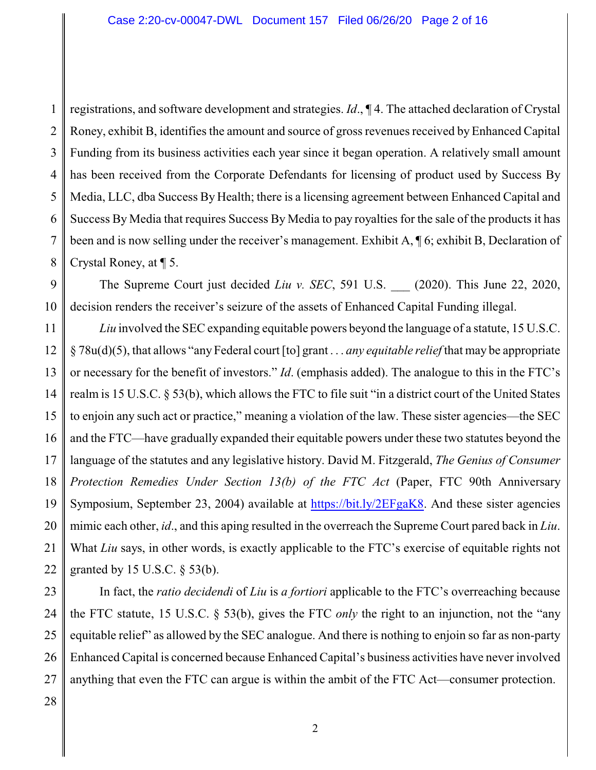1 2 3 4 5 6 7 8 registrations, and software development and strategies. *Id*., ¶ 4. The attached declaration of Crystal Roney, exhibit B, identifies the amount and source of gross revenues received by Enhanced Capital Funding from its business activities each year since it began operation. A relatively small amount has been received from the Corporate Defendants for licensing of product used by Success By Media, LLC, dba Success By Health; there is a licensing agreement between Enhanced Capital and Success By Media that requires Success By Media to pay royalties for the sale of the products it has been and is now selling under the receiver's management. Exhibit A, ¶ 6; exhibit B, Declaration of Crystal Roney, at ¶ 5.

9 10 The Supreme Court just decided *Liu v. SEC*, 591 U.S. (2020). This June 22, 2020, decision renders the receiver's seizure of the assets of Enhanced Capital Funding illegal.

11 12 13 14 15 16 17 18 19 20 21 22 *Liu* involved the SEC expanding equitable powers beyond the language of a statute, 15 U.S.C. § 78u(d)(5), that allows "any Federal court [to] grant . . . *any equitable relief* that may be appropriate or necessary for the benefit of investors." *Id*. (emphasis added). The analogue to this in the FTC's realm is 15 U.S.C. § 53(b), which allows the FTC to file suit "in a district court of the United States to enjoin any such act or practice," meaning a violation of the law. These sister agencies—the SEC and the FTC—have gradually expanded their equitable powers under these two statutes beyond the language of the statutes and any legislative history. David M. Fitzgerald, *The Genius of Consumer Protection Remedies Under Section 13(b) of the FTC Act* (Paper, FTC 90th Anniversary Symposium, September 23, 2004) available at [https://bit.ly/2EFgaK8](#page-1-0). And these sister agencies mimic each other, *id*., and this aping resulted in the overreach the Supreme Court pared back in *Liu*. What *Liu* says, in other words, is exactly applicable to the FTC's exercise of equitable rights not granted by 15 U.S.C. § 53(b).

<span id="page-1-0"></span>23 24 25 26 27 In fact, the *ratio decidendi* of *Liu* is *a fortiori* applicable to the FTC's overreaching because the FTC statute, 15 U.S.C. § 53(b), gives the FTC *only* the right to an injunction, not the "any equitable relief" as allowed by the SEC analogue. And there is nothing to enjoin so far as non-party Enhanced Capital is concerned because Enhanced Capital's business activities have never involved anything that even the FTC can argue is within the ambit of the FTC Act—consumer protection.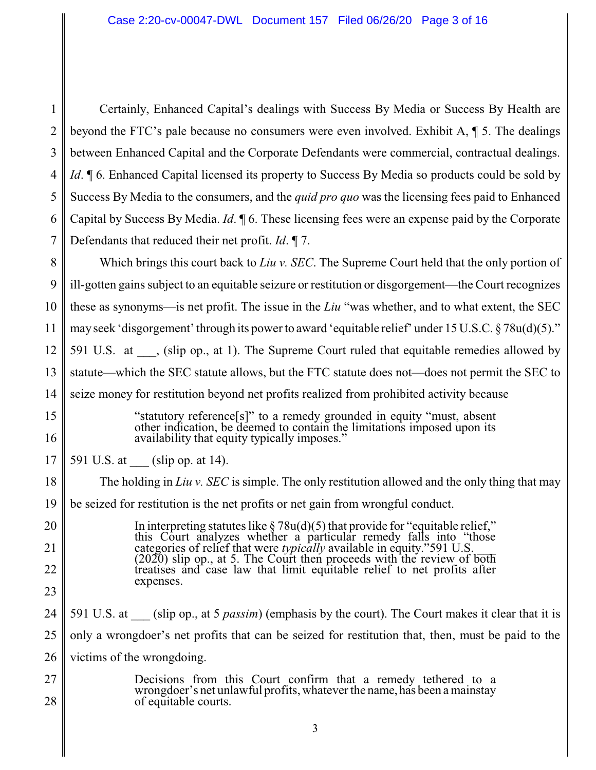| 1        | Certainly, Enhanced Capital's dealings with Success By Media or Success By Health are                                                                                                         |  |
|----------|-----------------------------------------------------------------------------------------------------------------------------------------------------------------------------------------------|--|
| 2        | beyond the FTC's pale because no consumers were even involved. Exhibit A, $\P$ 5. The dealings                                                                                                |  |
| 3        | between Enhanced Capital and the Corporate Defendants were commercial, contractual dealings.                                                                                                  |  |
| 4        | <i>Id.</i> 16. Enhanced Capital licensed its property to Success By Media so products could be sold by                                                                                        |  |
| 5        | Success By Media to the consumers, and the <i>quid pro quo</i> was the licensing fees paid to Enhanced                                                                                        |  |
| 6        | Capital by Success By Media. <i>Id.</i> $\mathcal{A}$ 6. These licensing fees were an expense paid by the Corporate                                                                           |  |
| 7        | Defendants that reduced their net profit. $Id. \P$ 7.                                                                                                                                         |  |
| 8        | Which brings this court back to Liu v. SEC. The Supreme Court held that the only portion of                                                                                                   |  |
| 9        | ill-gotten gains subject to an equitable seizure or restitution or disgorgement—the Court recognizes                                                                                          |  |
| 10       | these as synonyms—is net profit. The issue in the Liu "was whether, and to what extent, the SEC                                                                                               |  |
| 11       | may seek 'disgorgement' through its power to award 'equitable relief' under 15 U.S.C. § 78u(d)(5)."                                                                                           |  |
| 12       | 591 U.S. at , (slip op., at 1). The Supreme Court ruled that equitable remedies allowed by                                                                                                    |  |
| 13       | statute—which the SEC statute allows, but the FTC statute does not—does not permit the SEC to                                                                                                 |  |
| 14       | seize money for restitution beyond net profits realized from prohibited activity because                                                                                                      |  |
| 15<br>16 | "statutory reference[s]" to a remedy grounded in equity "must, absent other indication, be deemed to contain the limitations imposed upon its<br>availability that equity typically imposes." |  |
| 17       | 591 U.S. at (slip op. at 14).                                                                                                                                                                 |  |
| 18       | The holding in Liu v. SEC is simple. The only restitution allowed and the only thing that may                                                                                                 |  |
| 19       | be seized for restitution is the net profits or net gain from wrongful conduct.                                                                                                               |  |
| 20       | In interpreting statutes like $\S 78u(d)(5)$ that provide for "equitable relief,"<br>this Court analyzes whether a particular remedy falls into "those                                        |  |
| 21       | categories of relief that were <i>typically</i> available in equity."591 U.S.<br>$(2020)$ slip op., at 5. The Court then proceeds with the review of both                                     |  |
| 22       | treatises and case law that limit equitable relief to net profits after<br>expenses.                                                                                                          |  |
| 23       |                                                                                                                                                                                               |  |
| 24       | 591 U.S. at (slip op., at 5 <i>passim</i> ) (emphasis by the court). The Court makes it clear that it is                                                                                      |  |
| 25       | only a wrongdoer's net profits that can be seized for restitution that, then, must be paid to the                                                                                             |  |
| 26       | victims of the wrongdoing.                                                                                                                                                                    |  |
| 27<br>28 | Decisions from this Court confirm that a remedy tethered to a<br>wrongdoer's net unlawful profits, whatever the name, has been a mainstay<br>of equitable courts.                             |  |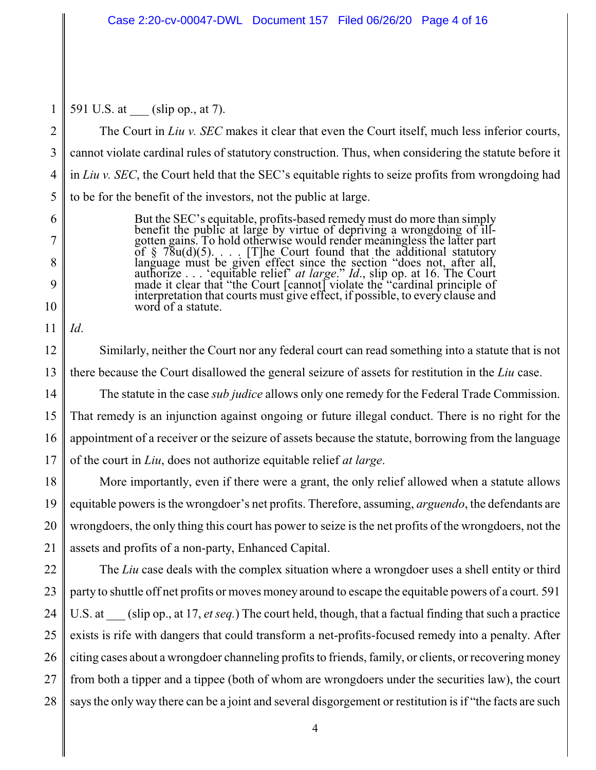1 591 U.S. at (slip op., at 7).

 $\mathfrak{D}$ 3 4 5 The Court in *Liu v. SEC* makes it clear that even the Court itself, much less inferior courts, cannot violate cardinal rules of statutory construction. Thus, when considering the statute before it in *Liu v. SEC*, the Court held that the SEC's equitable rights to seize profits from wrongdoing had to be for the benefit of the investors, not the public at large.

- But the SEC's equitable, profits-based remedy must do more than simply benefit the public at large by virtue of depriving a wrongdoing of illgotten gains. To hold otherwise would render meaningless the latter part of  $\S$  78u(d)(5).... [T]he Court found that the additional statutory language must be given effect since the section "does not, after all, authorize . . . 'equitable relief' *at large*." *Id*., slip op. at 16. The Court made it clear that "the Court [cannot] violate the "cardinal principle of interpretation that courts must give effect, if possible, to every clause and word of a statute.
- 11 *Id*.

6

7

8

9

10

12 13 14 15 16 17 Similarly, neither the Court nor any federal court can read something into a statute that is not there because the Court disallowed the general seizure of assets for restitution in the *Liu* case. The statute in the case *sub judice* allows only one remedy for the Federal Trade Commission. That remedy is an injunction against ongoing or future illegal conduct. There is no right for the appointment of a receiver or the seizure of assets because the statute, borrowing from the language of the court in *Liu*, does not authorize equitable relief *at large*.

18 19 20 21 More importantly, even if there were a grant, the only relief allowed when a statute allows equitable powers is the wrongdoer's net profits. Therefore, assuming, *arguendo*, the defendants are wrongdoers, the only thing this court has power to seize is the net profits of the wrongdoers, not the assets and profits of a non-party, Enhanced Capital.

22 23 24 25 26 27 28 The *Liu* case deals with the complex situation where a wrongdoer uses a shell entity or third party to shuttle off net profits or moves money around to escape the equitable powers of a court. 591 U.S. at (slip op., at 17, *et seq.*) The court held, though, that a factual finding that such a practice exists is rife with dangers that could transform a net-profits-focused remedy into a penalty. After citing cases about a wrongdoer channeling profits to friends, family, or clients, or recovering money from both a tipper and a tippee (both of whom are wrongdoers under the securities law), the court saysthe only way there can be a joint and several disgorgement or restitution is if "the facts are such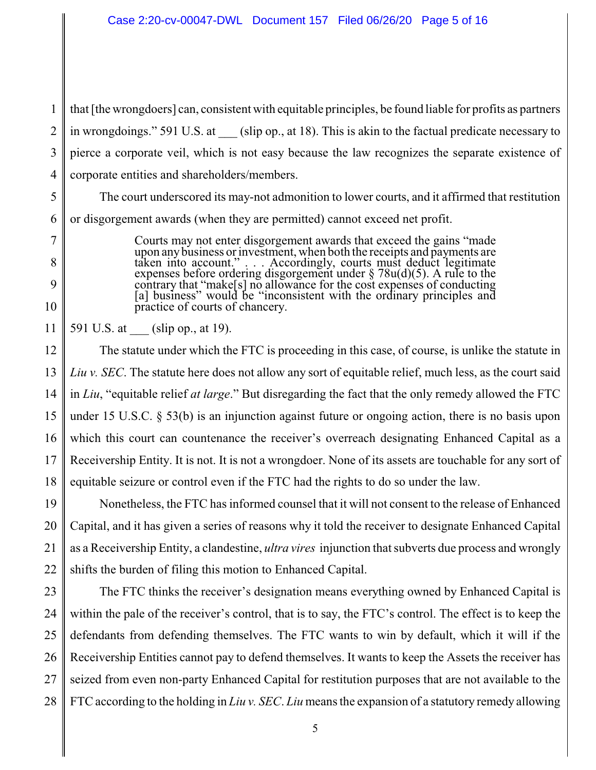1  $\mathfrak{D}$ 3 4 that [the wrongdoers] can, consistent with equitable principles, be found liable for profits as partners in wrongdoings." 591 U.S. at (slip op., at 18). This is akin to the factual predicate necessary to pierce a corporate veil, which is not easy because the law recognizes the separate existence of corporate entities and shareholders/members.

5 6 The court underscored its may-not admonition to lower courts, and it affirmed that restitution or disgorgement awards (when they are permitted) cannot exceed net profit.

> Courts may not enter disgorgement awards that exceed the gains "made upon anybusiness or investment, when both the receipts and payments are taken into account." . . . Accordingly, courts must deduct legitimate expenses before ordering disgorgement under  $\S 78u(d)(5)$ . A rule to the contrary that "make[s] no allowance for the cost expenses of conducting [a] business" would be "inconsistent with the ordinary principles and practice of courts of chancery.

11 591 U.S. at (slip op., at 19).

7

8

9

10

12 13 14 15 16 17 18 The statute under which the FTC is proceeding in this case, of course, is unlike the statute in *Liu v. SEC*. The statute here does not allow any sort of equitable relief, much less, as the court said in *Liu*, "equitable relief *at large*." But disregarding the fact that the only remedy allowed the FTC under 15 U.S.C. § 53(b) is an injunction against future or ongoing action, there is no basis upon which this court can countenance the receiver's overreach designating Enhanced Capital as a Receivership Entity. It is not. It is not a wrongdoer. None of its assets are touchable for any sort of equitable seizure or control even if the FTC had the rights to do so under the law.

19 20 21 22 Nonetheless, the FTC has informed counsel that it will not consent to the release of Enhanced Capital, and it has given a series of reasons why it told the receiver to designate Enhanced Capital as a Receivership Entity, a clandestine, *ultra vires* injunction that subverts due process and wrongly shifts the burden of filing this motion to Enhanced Capital.

23 24 25 26 27 28 The FTC thinks the receiver's designation means everything owned by Enhanced Capital is within the pale of the receiver's control, that is to say, the FTC's control. The effect is to keep the defendants from defending themselves. The FTC wants to win by default, which it will if the Receivership Entities cannot pay to defend themselves. It wants to keep the Assets the receiver has seized from even non-party Enhanced Capital for restitution purposes that are not available to the FTC according to the holding in *Liu v. SEC*. *Liu* means the expansion of a statutory remedy allowing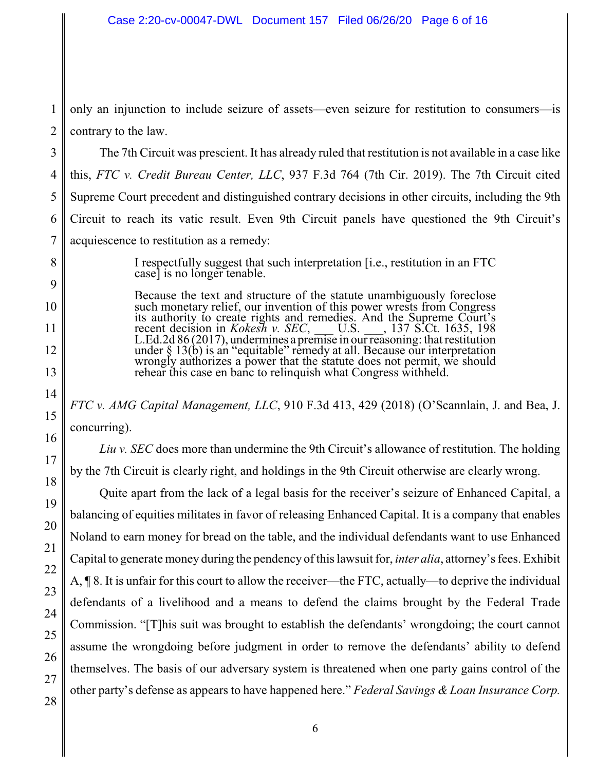1  $\mathfrak{D}$ only an injunction to include seizure of assets—even seizure for restitution to consumers—is contrary to the law.

The 7th Circuit was prescient. It has already ruled that restitution is not available in a case like this, *FTC v. Credit Bureau Center, LLC*, 937 F.3d 764 (7th Cir. 2019). The 7th Circuit cited Supreme Court precedent and distinguished contrary decisions in other circuits, including the 9th Circuit to reach its vatic result. Even 9th Circuit panels have questioned the 9th Circuit's acquiescence to restitution as a remedy:

> I respectfully suggest that such interpretation [i.e., restitution in an FTC case] is no longer tenable.

> Because the text and structure of the statute unambiguously foreclose such monetary relief, our invention of this power wrests from Congress its authority to create rights and remedies. And the Supreme Court's recent decision in *Kokesh v. SEC*, \_\_\_ U.S. \_\_\_, 137 S.Ct. 1635, 198 L.Ed.2d 86 (2017), undermines a premise in our reasoning: that restitution under § 13(b) is an "equitable" remedy at all. Because our interpretation wrongly authorizes a power that the statute does not permit, we should rehear this case en banc to relinquish what Congress withheld.

*FTC v. AMG Capital Management, LLC*, 910 F.3d 413, 429 (2018) (O'Scannlain, J. and Bea, J. concurring).

*Liu v. SEC* does more than undermine the 9th Circuit's allowance of restitution. The holding by the 7th Circuit is clearly right, and holdings in the 9th Circuit otherwise are clearly wrong.

Quite apart from the lack of a legal basis for the receiver's seizure of Enhanced Capital, a balancing of equities militates in favor of releasing Enhanced Capital. It is a company that enables Noland to earn money for bread on the table, and the individual defendants want to use Enhanced Capital to generate money during the pendency of this lawsuit for, *inter alia*, attorney's fees. Exhibit A, ¶ 8. It is unfair for this court to allow the receiver—the FTC, actually—to deprive the individual defendants of a livelihood and a means to defend the claims brought by the Federal Trade Commission. "[T]his suit was brought to establish the defendants' wrongdoing; the court cannot assume the wrongdoing before judgment in order to remove the defendants' ability to defend themselves. The basis of our adversary system is threatened when one party gains control of the other party's defense as appears to have happened here." *Federal Savings & Loan Insurance Corp.*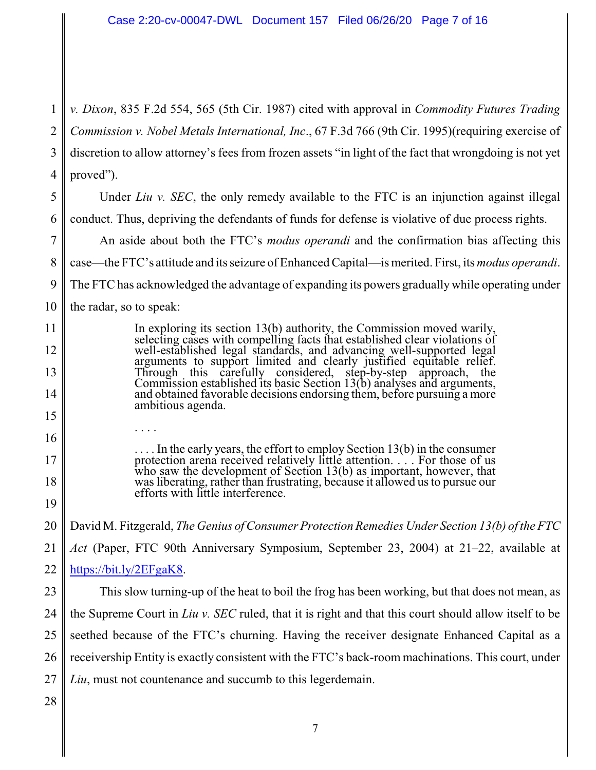1  $\mathfrak{D}$ 3 4 *v. Dixon*, 835 F.2d 554, 565 (5th Cir. 1987) cited with approval in *Commodity Futures Trading Commission v. Nobel Metals International, Inc*., 67 F.3d 766 (9th Cir. 1995)(requiring exercise of discretion to allow attorney's fees from frozen assets "in light of the fact that wrongdoing is not yet proved").

5 6 Under *Liu v. SEC*, the only remedy available to the FTC is an injunction against illegal conduct. Thus, depriving the defendants of funds for defense is violative of due process rights.

7 8 9 10 An aside about both the FTC's *modus operandi* and the confirmation bias affecting this case—the FTC's attitude and its seizure of Enhanced Capital—is merited. First, its *modus operandi*. The FTC has acknowledged the advantage of expanding its powers graduallywhile operating under the radar, so to speak:

> In exploring its section 13(b) authority, the Commission moved warily, selecting cases with compelling facts that established clear violations of well-established legal standards, and advancing well-supported legal arguments to support limited and clearly justified equitable relief. Through this carefully considered, step-by-step approach, the Commission established its basic Section 13(b) analyses and arguments, and obtained favorable decisions endorsing them, before pursuing a more ambitious agenda.

. . . .

. . . . In the early years, the effort to employ Section 13(b) in the consumer protection arena received relatively little attention. . . . For those of us who saw the development of Section 13(b) as important, however, that was liberating, rather than frustrating, because it allowed us to pursue our efforts with little interference.

20 David M. Fitzgerald, *The Genius of Consumer Protection Remedies Under Section 13(b) of the FTC*

21 22 *Act* (Paper, FTC 90th Anniversary Symposium, September 23, 2004) at 21–22, available at <https://bit.ly/2EFgaK8>.

23 24 25 26 27 This slow turning-up of the heat to boil the frog has been working, but that does not mean, as the Supreme Court in *Liu v. SEC* ruled, that it is right and that this court should allow itself to be seethed because of the FTC's churning. Having the receiver designate Enhanced Capital as a receivership Entity is exactly consistent with the FTC's back-room machinations. This court, under *Liu*, must not countenance and succumb to this legerdemain.

28

11

12

13

14

15

16

17

18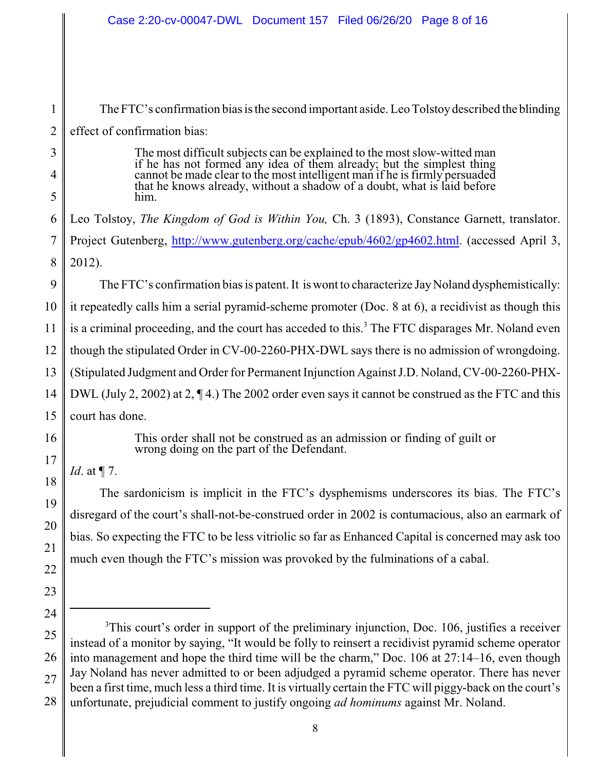1  $\mathcal{L}$ 3 4 5 6 7 8 9 10 11 12 13 14 15 16 17 18 19 20 21 22 23 24 25 26 27 The FTC's confirmation bias is the second important aside. Leo Tolstoydescribed the blinding effect of confirmation bias: The most difficult subjects can be explained to the most slow-witted man if he has not formed any idea of them already; but the simplest thing cannot be made clear to the most intelligent man if he is firmly persuaded that he knows already, without a shadow of a doubt, what is laid before him. Leo Tolstoy, *The Kingdom of God is Within You,* Ch. 3 (1893), Constance Garnett, translator. Project Gutenberg, <http://www.gutenberg.org/cache/epub/4602/gp4602.html>. (accessed April 3, 2012). The FTC's confirmation bias is patent. It is wont to characterize Jay Noland dysphemistically: it repeatedly calls him a serial pyramid-scheme promoter (Doc. 8 at 6), a recidivist as though this is a criminal proceeding, and the court has acceded to this.<sup>3</sup> The FTC disparages Mr. Noland even though the stipulated Order in CV-00-2260-PHX-DWL says there is no admission of wrongdoing. (Stipulated Judgment and Order for Permanent Injunction Against J.D. Noland, CV-00-2260-PHX-DWL (July 2, 2002) at 2, ¶ 4.) The 2002 order even says it cannot be construed as the FTC and this court has done. This order shall not be construed as an admission or finding of guilt or wrong doing on the part of the Defendant. *Id*. at ¶ 7. The sardonicism is implicit in the FTC's dysphemisms underscores its bias. The FTC's disregard of the court's shall-not-be-construed order in 2002 is contumacious, also an earmark of bias. So expecting the FTC to be less vitriolic so far as Enhanced Capital is concerned may ask too much even though the FTC's mission was provoked by the fulminations of a cabal. <sup>3</sup>This court's order in support of the preliminary injunction, Doc. 106, justifies a receiver instead of a monitor by saying, "It would be folly to reinsert a recidivist pyramid scheme operator into management and hope the third time will be the charm," Doc. 106 at 27:14–16, even though Jay Noland has never admitted to or been adjudged a pyramid scheme operator. There has never been a first time, much less a third time. It is virtually certain the FTC will piggy-back on the court's

28 unfortunate, prejudicial comment to justify ongoing *ad hominums* against Mr. Noland.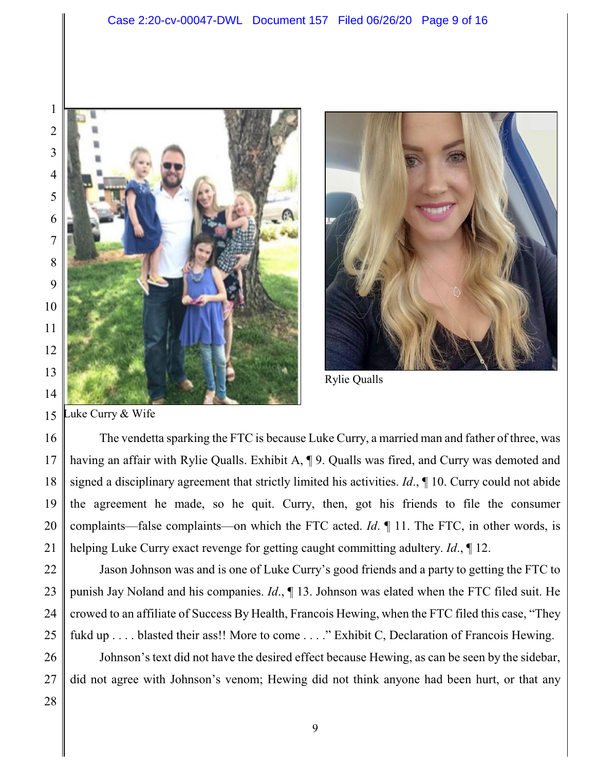



Rylie Qualls

 uke Curry & Wife

 The vendetta sparking the FTC is because Luke Curry, a married man and father of three, was having an affair with Rylie Qualls. Exhibit A, ¶ 9. Qualls was fired, and Curry was demoted and signed a disciplinary agreement that strictly limited his activities. *Id*., ¶ 10. Curry could not abide the agreement he made, so he quit. Curry, then, got his friends to file the consumer complaints—false complaints—on which the FTC acted. *Id*. ¶ 11. The FTC, in other words, is helping Luke Curry exact revenge for getting caught committing adultery. *Id*., ¶ 12.

 Jason Johnson was and is one of Luke Curry's good friends and a party to getting the FTC to punish Jay Noland and his companies. *Id*., ¶ 13. Johnson was elated when the FTC filed suit. He crowed to an affiliate of Success By Health, Francois Hewing, when the FTC filed this case, "They fukd up . . . . blasted their ass!! More to come . . . ." Exhibit C, Declaration of Francois Hewing.

 Johnson's text did not have the desired effect because Hewing, as can be seen by the sidebar, did not agree with Johnson's venom; Hewing did not think anyone had been hurt, or that any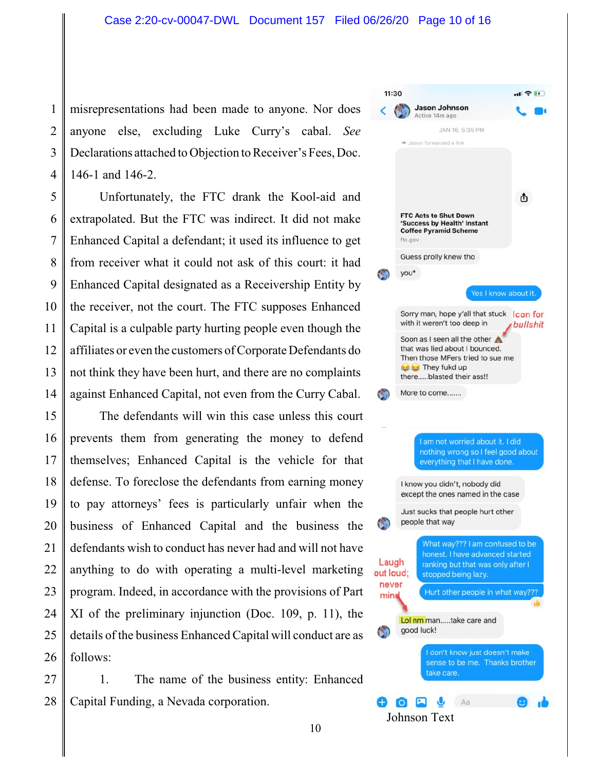1  $\mathfrak{D}$ 3 4 misrepresentations had been made to anyone. Nor does anyone else, excluding Luke Curry's cabal. *See* Declarations attached to Objection to Receiver's Fees, Doc. 146-1 and 146-2.

5 6 7 8 9 10 11 12 13 14 Unfortunately, the FTC drank the Kool-aid and extrapolated. But the FTC was indirect. It did not make Enhanced Capital a defendant; it used its influence to get from receiver what it could not ask of this court: it had Enhanced Capital designated as a Receivership Entity by the receiver, not the court. The FTC supposes Enhanced Capital is a culpable party hurting people even though the affiliates or even the customers ofCorporate Defendants do not think they have been hurt, and there are no complaints against Enhanced Capital, not even from the Curry Cabal.

15 16 17 18 19 20 21 22 23 24 25 26 The defendants will win this case unless this court prevents them from generating the money to defend themselves; Enhanced Capital is the vehicle for that defense. To foreclose the defendants from earning money to pay attorneys' fees is particularly unfair when the business of Enhanced Capital and the business the defendants wish to conduct has never had and will not have anything to do with operating a multi-level marketing program. Indeed, in accordance with the provisions of Part XI of the preliminary injunction (Doc. 109, p. 11), the details of the business Enhanced Capital will conduct are as follows:

27 28 1. The name of the business entity: Enhanced Capital Funding, a Nevada corporation.

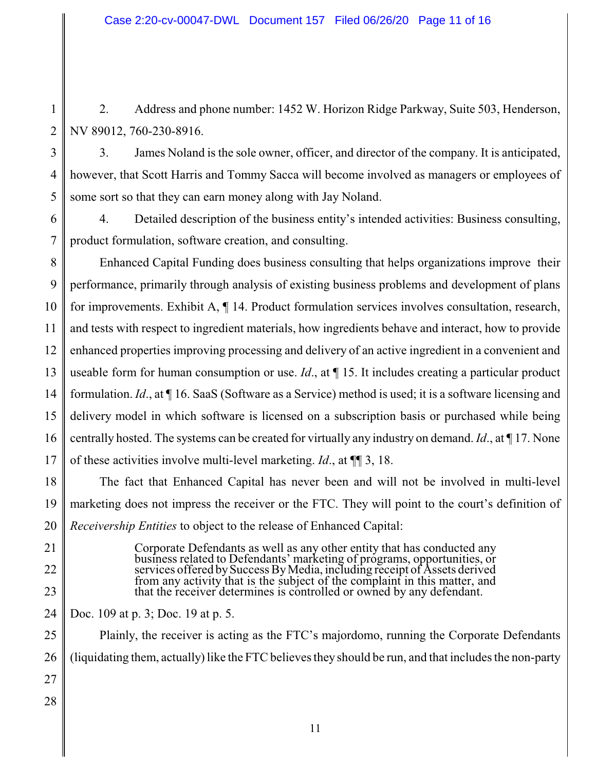1 2 2. Address and phone number: 1452 W. Horizon Ridge Parkway, Suite 503, Henderson, NV 89012, 760-230-8916.

3 4 5 3. James Noland is the sole owner, officer, and director of the company. It is anticipated, however, that Scott Harris and Tommy Sacca will become involved as managers or employees of some sort so that they can earn money along with Jay Noland.

6 7 4. Detailed description of the business entity's intended activities: Business consulting, product formulation, software creation, and consulting.

8 9 10 11 12 13 14 15 16 17 Enhanced Capital Funding does business consulting that helps organizations improve their performance, primarily through analysis of existing business problems and development of plans for improvements. Exhibit A, ¶ 14. Product formulation services involves consultation, research, and tests with respect to ingredient materials, how ingredients behave and interact, how to provide enhanced properties improving processing and delivery of an active ingredient in a convenient and useable form for human consumption or use. *Id*., at ¶ 15. It includes creating a particular product formulation. *Id*., at ¶ 16. SaaS (Software as a Service) method is used; it is a software licensing and delivery model in which software is licensed on a subscription basis or purchased while being centrally hosted. The systems can be created for virtually any industry on demand. *Id*., at ¶ 17. None of these activities involve multi-level marketing. *Id*., at ¶¶ 3, 18.

18 19 20 The fact that Enhanced Capital has never been and will not be involved in multi-level marketing does not impress the receiver or the FTC. They will point to the court's definition of *Receivership Entities* to object to the release of Enhanced Capital:

> Corporate Defendants as well as any other entity that has conducted any business related to Defendants' marketing of programs, opportunities, or services offered bySuccess ByMedia, including receipt of Assets derived from any activity that is the subject of the complaint in this matter, and that the receiver determines is controlled or owned by any defendant.

- 21
- 22
- 
- 23

24

Doc. 109 at p. 3; Doc. 19 at p. 5.

25 26 27 28 Plainly, the receiver is acting as the FTC's majordomo, running the Corporate Defendants (liquidating them, actually)like the FTC believes they should be run, and that includes the non-party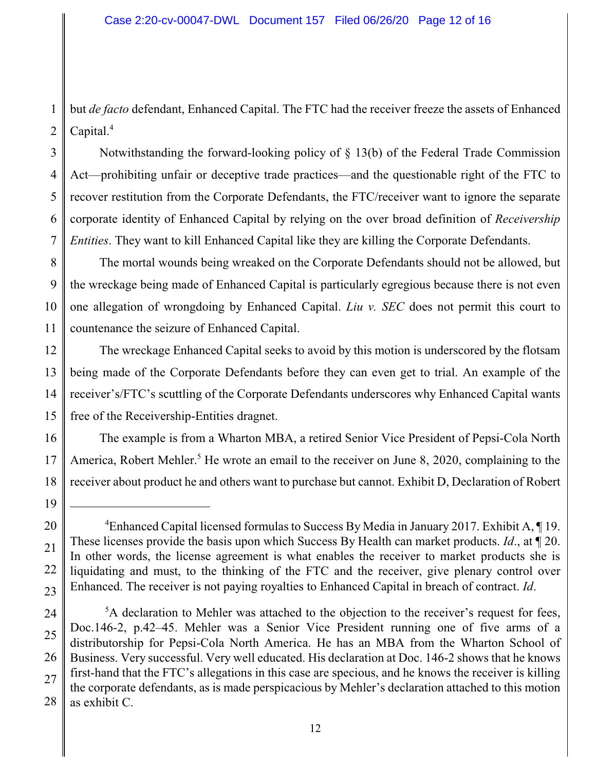1 2 but *de facto* defendant, Enhanced Capital. The FTC had the receiver freeze the assets of Enhanced Capital.<sup>4</sup>

3 4 5 6 7 Notwithstanding the forward-looking policy of § 13(b) of the Federal Trade Commission Act—prohibiting unfair or deceptive trade practices—and the questionable right of the FTC to recover restitution from the Corporate Defendants, the FTC/receiver want to ignore the separate corporate identity of Enhanced Capital by relying on the over broad definition of *Receivership Entities*. They want to kill Enhanced Capital like they are killing the Corporate Defendants.

8 9 10 11 The mortal wounds being wreaked on the Corporate Defendants should not be allowed, but the wreckage being made of Enhanced Capital is particularly egregious because there is not even one allegation of wrongdoing by Enhanced Capital. *Liu v. SEC* does not permit this court to countenance the seizure of Enhanced Capital.

12 13 14 15 The wreckage Enhanced Capital seeks to avoid by this motion is underscored by the flotsam being made of the Corporate Defendants before they can even get to trial. An example of the receiver's/FTC's scuttling of the Corporate Defendants underscores why Enhanced Capital wants free of the Receivership-Entities dragnet.

16 17 18 The example is from a Wharton MBA, a retired Senior Vice President of Pepsi-Cola North America, Robert Mehler.<sup>5</sup> He wrote an email to the receiver on June 8, 2020, complaining to the receiver about product he and others want to purchase but cannot. Exhibit D, Declaration of Robert

<sup>19</sup> 20

<sup>22</sup> 23 <sup>4</sup>Enhanced Capital licensed formulas to Success By Media in January 2017. Exhibit A, ¶ 19. These licenses provide the basis upon which Success By Health can market products. *Id*., at ¶ 20. In other words, the license agreement is what enables the receiver to market products she is liquidating and must, to the thinking of the FTC and the receiver, give plenary control over Enhanced. The receiver is not paying royalties to Enhanced Capital in breach of contract. *Id*.

<sup>24</sup> 25 26 27 28 <sup>5</sup>A declaration to Mehler was attached to the objection to the receiver's request for fees, Doc.146-2, p.42–45. Mehler was a Senior Vice President running one of five arms of a distributorship for Pepsi-Cola North America. He has an MBA from the Wharton School of Business. Very successful. Very well educated. His declaration at Doc. 146-2 shows that he knows first-hand that the FTC's allegations in this case are specious, and he knows the receiver is killing the corporate defendants, as is made perspicacious by Mehler's declaration attached to this motion as exhibit C.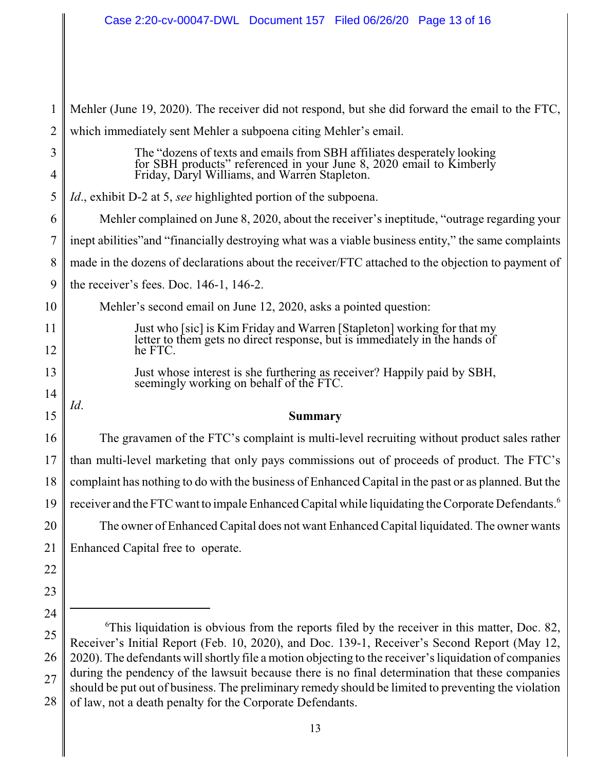| 1      | Mehler (June 19, 2020). The receiver did not respond, but she did forward the email to the FTC,                                                                                                           |  |  |
|--------|-----------------------------------------------------------------------------------------------------------------------------------------------------------------------------------------------------------|--|--|
| 2      | which immediately sent Mehler a subpoena citing Mehler's email.                                                                                                                                           |  |  |
| 3<br>4 | The "dozens of texts and emails from SBH affiliates desperately looking<br>for SBH products" referenced in your June 8, 2020 email to Kimberly Friday, Daryl Williams, and Warren Stapleton.              |  |  |
| 5      | <i>Id.</i> , exhibit D-2 at 5, see highlighted portion of the subpoena.                                                                                                                                   |  |  |
| 6      | Mehler complained on June 8, 2020, about the receiver's ineptitude, "outrage regarding your                                                                                                               |  |  |
| 7      | inept abilities" and "financially destroying what was a viable business entity," the same complaints                                                                                                      |  |  |
| 8      | made in the dozens of declarations about the receiver/FTC attached to the objection to payment of                                                                                                         |  |  |
| 9      | the receiver's fees. Doc. 146-1, 146-2.                                                                                                                                                                   |  |  |
| 10     | Mehler's second email on June 12, 2020, asks a pointed question:                                                                                                                                          |  |  |
| 11     | Just who [sic] is Kim Friday and Warren [Stapleton] working for that my letter to them gets no direct response, but is immediately in the hands of                                                        |  |  |
| 12     | he FTC.                                                                                                                                                                                                   |  |  |
| 13     | Just whose interest is she furthering as receiver? Happily paid by SBH,                                                                                                                                   |  |  |
| 14     | seemingly working on behalf of the FTC.                                                                                                                                                                   |  |  |
| 15     | Id.<br><b>Summary</b>                                                                                                                                                                                     |  |  |
| 16     | The gravamen of the FTC's complaint is multi-level recruiting without product sales rather                                                                                                                |  |  |
| 17     | than multi-level marketing that only pays commissions out of proceeds of product. The FTC's                                                                                                               |  |  |
| 18     | complaint has nothing to do with the business of Enhanced Capital in the past or as planned. But the                                                                                                      |  |  |
| 19     | receiver and the FTC want to impale Enhanced Capital while liquidating the Corporate Defendants. <sup>6</sup>                                                                                             |  |  |
| 20     | The owner of Enhanced Capital does not want Enhanced Capital liquidated. The owner wants                                                                                                                  |  |  |
| 21     | Enhanced Capital free to operate.                                                                                                                                                                         |  |  |
| 22     |                                                                                                                                                                                                           |  |  |
| 23     |                                                                                                                                                                                                           |  |  |
| 24     |                                                                                                                                                                                                           |  |  |
| 25     | ${}^6$ This liquidation is obvious from the reports filed by the receiver in this matter, Doc. 82,<br>Receiver's Initial Report (Feb. 10, 2020), and Doc. 139-1, Receiver's Second Report (May 12,        |  |  |
| 26     | 2020). The defendants will shortly file a motion objecting to the receiver's liquidation of companies<br>during the neglector of the lawsuit because there is no final determination that these companies |  |  |
|        |                                                                                                                                                                                                           |  |  |

27 28 during the pendency of the lawsuit because there is no final determination that these companies should be put out of business. The preliminary remedy should be limited to preventing the violation of law, not a death penalty for the Corporate Defendants.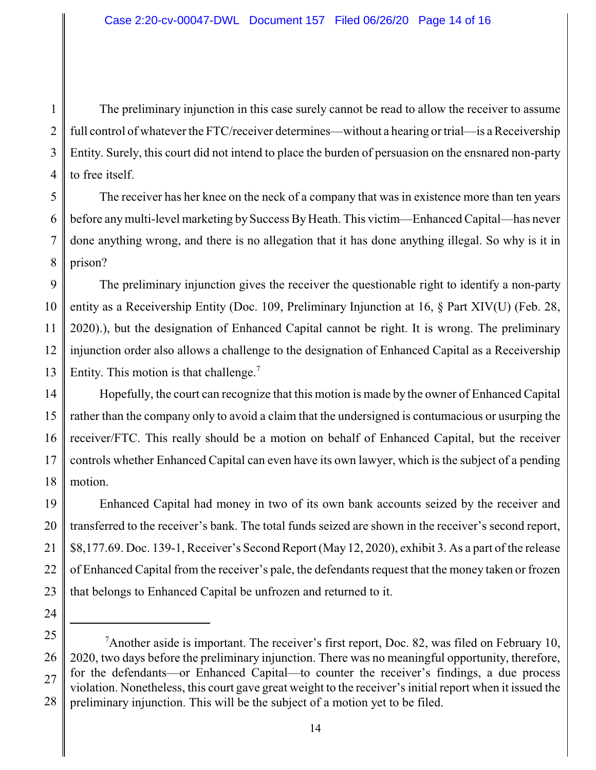1 2 3 4 The preliminary injunction in this case surely cannot be read to allow the receiver to assume full control of whatever the FTC/receiver determines—without a hearing or trial—is a Receivership Entity. Surely, this court did not intend to place the burden of persuasion on the ensnared non-party to free itself.

5 6 7 8 The receiver has her knee on the neck of a company that was in existence more than ten years before any multi-level marketing by Success By Heath. This victim—Enhanced Capital—has never done anything wrong, and there is no allegation that it has done anything illegal. So why is it in prison?

9 10 11 12 13 The preliminary injunction gives the receiver the questionable right to identify a non-party entity as a Receivership Entity (Doc. 109, Preliminary Injunction at 16, § Part XIV(U) (Feb. 28, 2020).), but the designation of Enhanced Capital cannot be right. It is wrong. The preliminary injunction order also allows a challenge to the designation of Enhanced Capital as a Receivership Entity. This motion is that challenge.<sup>7</sup>

14 15 16 17 18 Hopefully, the court can recognize that this motion is made by the owner of Enhanced Capital rather than the company only to avoid a claim that the undersigned is contumacious or usurping the receiver/FTC. This really should be a motion on behalf of Enhanced Capital, but the receiver controls whether Enhanced Capital can even have its own lawyer, which is the subject of a pending motion.

19 20 21 22 23 Enhanced Capital had money in two of its own bank accounts seized by the receiver and transferred to the receiver's bank. The total funds seized are shown in the receiver's second report, \$8,177.69. Doc. 139-1, Receiver's Second Report (May 12, 2020), exhibit 3. As a part of the release of Enhanced Capital from the receiver's pale, the defendants request that the money taken or frozen that belongs to Enhanced Capital be unfrozen and returned to it.

<sup>25</sup> 26 27 28 <sup>7</sup>Another aside is important. The receiver's first report, Doc. 82, was filed on February 10, 2020, two days before the preliminary injunction. There was no meaningful opportunity, therefore, for the defendants—or Enhanced Capital—to counter the receiver's findings, a due process violation. Nonetheless, this court gave great weight to the receiver's initial report when it issued the preliminary injunction. This will be the subject of a motion yet to be filed.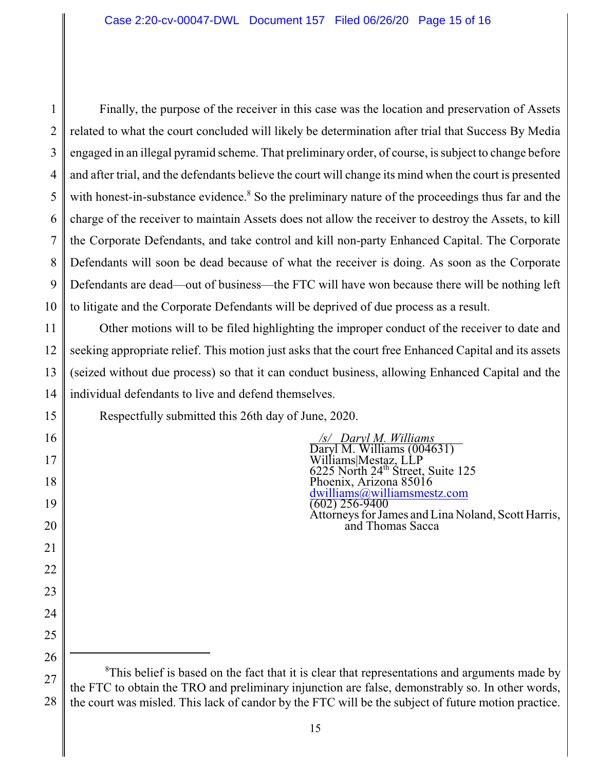1 2 3 4 5 6 7 8 9 10 Finally, the purpose of the receiver in this case was the location and preservation of Assets related to what the court concluded will likely be determination after trial that Success By Media engaged in an illegal pyramid scheme. That preliminary order, of course, is subject to change before and after trial, and the defendants believe the court will change its mind when the court is presented with honest-in-substance evidence.<sup>8</sup> So the preliminary nature of the proceedings thus far and the charge of the receiver to maintain Assets does not allow the receiver to destroy the Assets, to kill the Corporate Defendants, and take control and kill non-party Enhanced Capital. The Corporate Defendants will soon be dead because of what the receiver is doing. As soon as the Corporate Defendants are dead—out of business—the FTC will have won because there will be nothing left to litigate and the Corporate Defendants will be deprived of due process as a result.

11 12 13 14 Other motions will to be filed highlighting the improper conduct of the receiver to date and seeking appropriate relief. This motion just asks that the court free Enhanced Capital and its assets (seized without due process) so that it can conduct business, allowing Enhanced Capital and the individual defendants to live and defend themselves.

Respectfully submitted this 26th day of June, 2020.

 */s/ Daryl M. Williams*  Daryl M. Williams (004631) Williams|Mestaz, LLP  $6225$  North  $24^{\text{th}}$  Street, Suite 125 Phoenix, Arizona 85016 [dwilliams@williamsmestz.com](mailto:dwilliams@williamsmestz.com) (602) 256-9400 Attorneys for James and Lina Noland, Scott Harris, and Thomas Sacca

15

16

17

18

19

20

21

22

<sup>24</sup> 25 26

<sup>27</sup> 28  ${}^8$ This belief is based on the fact that it is clear that representations and arguments made by the FTC to obtain the TRO and preliminary injunction are false, demonstrably so. In other words, the court was misled. This lack of candor by the FTC will be the subject of future motion practice.